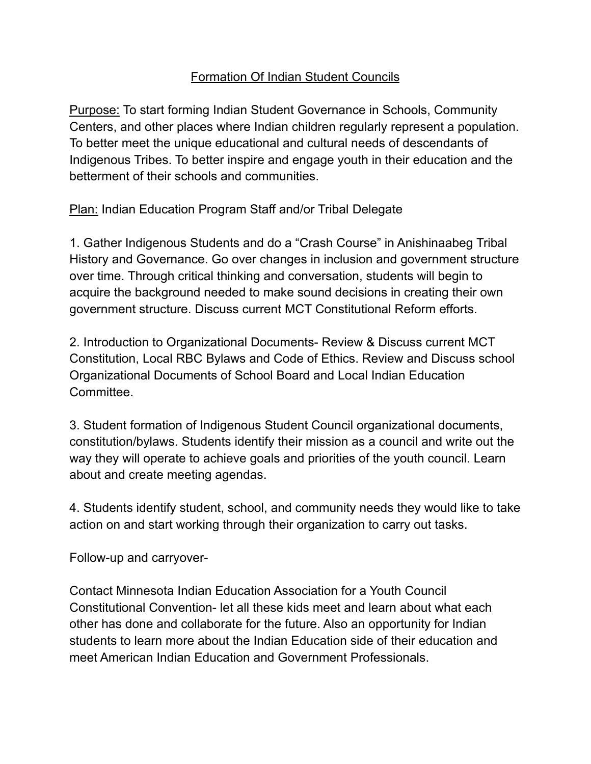## Formation Of Indian Student Councils

Purpose: To start forming Indian Student Governance in Schools, Community Centers, and other places where Indian children regularly represent a population. To better meet the unique educational and cultural needs of descendants of Indigenous Tribes. To better inspire and engage youth in their education and the betterment of their schools and communities.

**Plan: Indian Education Program Staff and/or Tribal Delegate** 

1. Gather Indigenous Students and do a "Crash Course" in Anishinaabeg Tribal History and Governance. Go over changes in inclusion and government structure over time. Through critical thinking and conversation, students will begin to acquire the background needed to make sound decisions in creating their own government structure. Discuss current MCT Constitutional Reform efforts.

2. Introduction to Organizational Documents- Review & Discuss current MCT Constitution, Local RBC Bylaws and Code of Ethics. Review and Discuss school Organizational Documents of School Board and Local Indian Education Committee.

3. Student formation of Indigenous Student Council organizational documents, constitution/bylaws. Students identify their mission as a council and write out the way they will operate to achieve goals and priorities of the youth council. Learn about and create meeting agendas.

4. Students identify student, school, and community needs they would like to take action on and start working through their organization to carry out tasks.

Follow-up and carryover-

Contact Minnesota Indian Education Association for a Youth Council Constitutional Convention- let all these kids meet and learn about what each other has done and collaborate for the future. Also an opportunity for Indian students to learn more about the Indian Education side of their education and meet American Indian Education and Government Professionals.